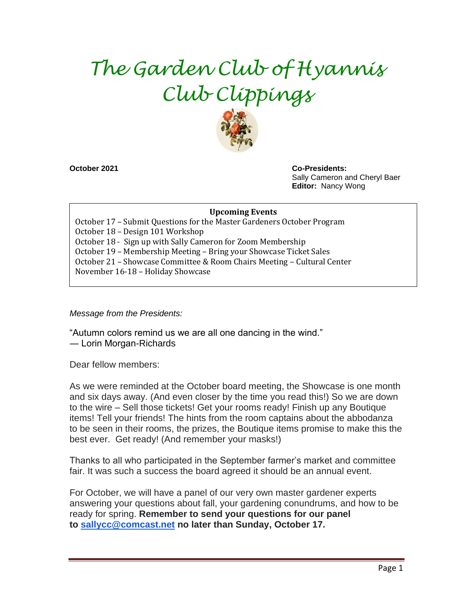# *The Garden Club of Hyannis Club Clippings*



**October 2021 Co-Presidents:**  Sally Cameron and Cheryl Baer **Editor:** Nancy Wong

#### **Upcoming Events**

October 17 – Submit Questions for the Master Gardeners October Program October 18 – Design 101 Workshop October 18 - Sign up with Sally Cameron for Zoom Membership October 19 – Membership Meeting – Bring your Showcase Ticket Sales October 21 – Showcase Committee & Room Chairs Meeting – Cultural Center November 16-18 – Holiday Showcase

*Message from the Presidents:*

"Autumn colors remind us we are all one dancing in the wind." ― Lorin Morgan-Richards

Dear fellow members:

As we were reminded at the October board meeting, the Showcase is one month and six days away. (And even closer by the time you read this!) So we are down to the wire – Sell those tickets! Get your rooms ready! Finish up any Boutique items! Tell your friends! The hints from the room captains about the abbodanza to be seen in their rooms, the prizes, the Boutique items promise to make this the best ever. Get ready! (And remember your masks!)

Thanks to all who participated in the September farmer's market and committee fair. It was such a success the board agreed it should be an annual event.

For October, we will have a panel of our very own master gardener experts answering your questions about fall, your gardening conundrums, and how to be ready for spring. **Remember to send your questions for our panel to [sallycc@comcast.net](mailto:sallycc@comcast.net) no later than Sunday, October 17.**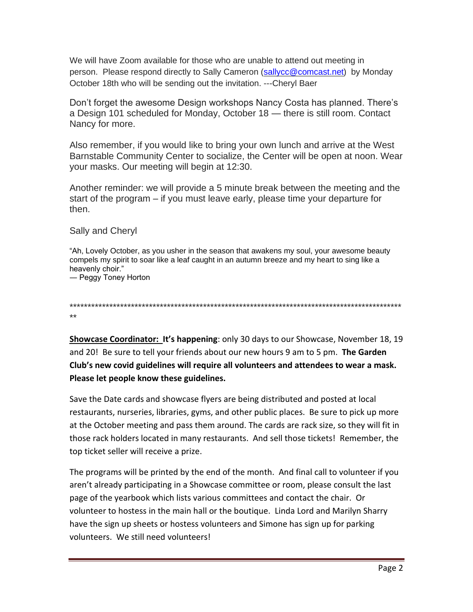We will have Zoom available for those who are unable to attend out meeting in person. Please respond directly to Sally Cameron [\(sallycc@comcast.net\)](mailto:sallycc@comcast.net) by Monday October 18th who will be sending out the invitation. ---Cheryl Baer

Don't forget the awesome Design workshops Nancy Costa has planned. There's a Design 101 scheduled for Monday, October 18 — there is still room. Contact Nancy for more.

Also remember, if you would like to bring your own lunch and arrive at the West Barnstable Community Center to socialize, the Center will be open at noon. Wear your masks. Our meeting will begin at 12:30.

Another reminder: we will provide a 5 minute break between the meeting and the start of the program – if you must leave early, please time your departure for then.

#### Sally and Cheryl

"Ah, Lovely October, as you usher in the season that awakens my soul, your awesome beauty compels my spirit to soar like a leaf caught in an autumn breeze and my heart to sing like a heavenly choir."

― Peggy Toney Horton

\*\*\*\*\*\*\*\*\*\*\*\*\*\*\*\*\*\*\*\*\*\*\*\*\*\*\*\*\*\*\*\*\*\*\*\*\*\*\*\*\*\*\*\*\*\*\*\*\*\*\*\*\*\*\*\*\*\*\*\*\*\*\*\*\*\*\*\*\*\*\*\*\*\*\*\*\*\*\*\*\*\*\*\*\*\*\*\*\*\*\*\* \*\*

**Showcase Coordinator: It's happening**: only 30 days to our Showcase, November 18, 19 and 20! Be sure to tell your friends about our new hours 9 am to 5 pm. **The Garden Club's new covid guidelines will require all volunteers and attendees to wear a mask. Please let people know these guidelines.**

Save the Date cards and showcase flyers are being distributed and posted at local restaurants, nurseries, libraries, gyms, and other public places. Be sure to pick up more at the October meeting and pass them around. The cards are rack size, so they will fit in those rack holders located in many restaurants. And sell those tickets! Remember, the top ticket seller will receive a prize.

The programs will be printed by the end of the month. And final call to volunteer if you aren't already participating in a Showcase committee or room, please consult the last page of the yearbook which lists various committees and contact the chair. Or volunteer to hostess in the main hall or the boutique. Linda Lord and Marilyn Sharry have the sign up sheets or hostess volunteers and Simone has sign up for parking volunteers. We still need volunteers!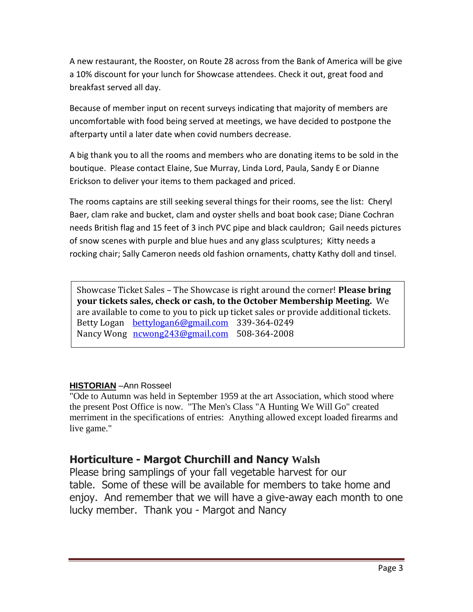A new restaurant, the Rooster, on Route 28 across from the Bank of America will be give a 10% discount for your lunch for Showcase attendees. Check it out, great food and breakfast served all day.

Because of member input on recent surveys indicating that majority of members are uncomfortable with food being served at meetings, we have decided to postpone the afterparty until a later date when covid numbers decrease.

A big thank you to all the rooms and members who are donating items to be sold in the boutique. Please contact Elaine, Sue Murray, Linda Lord, Paula, Sandy E or Dianne Erickson to deliver your items to them packaged and priced.

The rooms captains are still seeking several things for their rooms, see the list: Cheryl Baer, clam rake and bucket, clam and oyster shells and boat book case; Diane Cochran needs British flag and 15 feet of 3 inch PVC pipe and black cauldron; Gail needs pictures of snow scenes with purple and blue hues and any glass sculptures; Kitty needs a rocking chair; Sally Cameron needs old fashion ornaments, chatty Kathy doll and tinsel.

Showcase Ticket Sales – The Showcase is right around the corner! **Please bring your tickets sales, check or cash, to the October Membership Meeting.** We are available to come to you to pick up ticket sales or provide additional tickets. Betty Logan [bettylogan6@gmail.com](mailto:bettylogan6@gmail.com) 339-364-0249 Nancy Wong [ncwong243@gmail.com](mailto:ncwong243@gmail.com) 508-364-2008

#### **HISTORIAN** –Ann Rosseel

"Ode to Autumn was held in September 1959 at the art Association, which stood where the present Post Office is now. "The Men's Class "A Hunting We Will Go" created merriment in the specifications of entries: Anything allowed except loaded firearms and live game."

### **Horticulture - Margot Churchill and Nancy Walsh**

Please bring samplings of your fall vegetable harvest for our table. Some of these will be available for members to take home and enjoy. And remember that we will have a give-away each month to one lucky member. Thank you - Margot and Nancy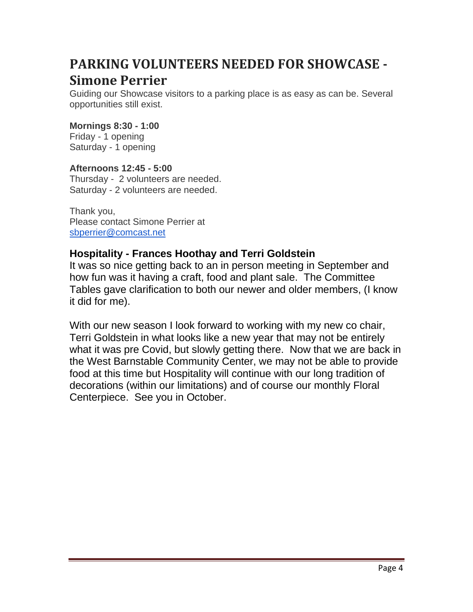## **PARKING VOLUNTEERS NEEDED FOR SHOWCASE - Simone Perrier**

Guiding our Showcase visitors to a parking place is as easy as can be. Several opportunities still exist.

#### **Mornings 8:30 - 1:00**

Friday - 1 opening Saturday - 1 opening

#### **Afternoons 12:45 - 5:00**

Thursday - 2 volunteers are needed. Saturday - 2 volunteers are needed.

Thank you, Please contact Simone Perrier at [sbperrier@comcast.net](mailto:sbperrier@comcast.net)

#### **Hospitality - Frances Hoothay and Terri Goldstein**

It was so nice getting back to an in person meeting in September and how fun was it having a craft, food and plant sale. The Committee Tables gave clarification to both our newer and older members, (I know it did for me).

With our new season I look forward to working with my new co chair, Terri Goldstein in what looks like a new year that may not be entirely what it was pre Covid, but slowly getting there. Now that we are back in the West Barnstable Community Center, we may not be able to provide food at this time but Hospitality will continue with our long tradition of decorations (within our limitations) and of course our monthly Floral Centerpiece. See you in October.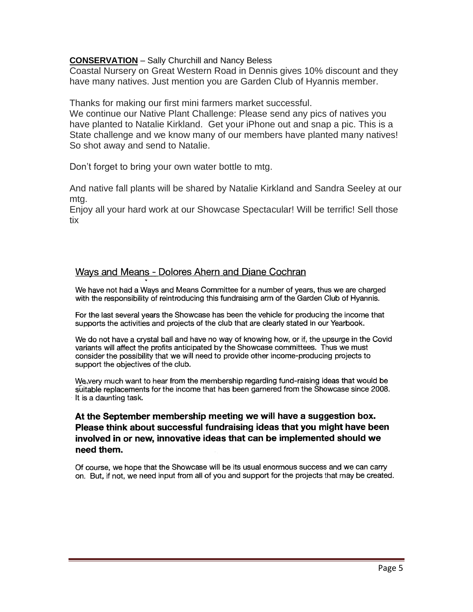#### **CONSERVATION** – Sally Churchill and Nancy Beless

Coastal Nursery on Great Western Road in Dennis gives 10% discount and they have many natives. Just mention you are Garden Club of Hyannis member.

Thanks for making our first mini farmers market successful.

We continue our Native Plant Challenge: Please send any pics of natives you have planted to Natalie Kirkland. Get your iPhone out and snap a pic. This is a State challenge and we know many of our members have planted many natives! So shot away and send to Natalie.

Don't forget to bring your own water bottle to mtg.

And native fall plants will be shared by Natalie Kirkland and Sandra Seeley at our mtg.

Enjoy all your hard work at our Showcase Spectacular! Will be terrific! Sell those tix

#### Ways and Means - Dolores Ahern and Diane Cochran

We have not had a Ways and Means Committee for a number of years, thus we are charged with the responsibility of reintroducing this fundraising arm of the Garden Club of Hyannis.

For the last several years the Showcase has been the vehicle for producing the income that supports the activities and projects of the club that are clearly stated in our Yearbook.

We do not have a crystal ball and have no way of knowing how, or if, the upsurge in the Covid variants will affect the profits anticipated by the Showcase committees. Thus we must consider the possibility that we will need to provide other income-producing projects to support the objectives of the club.

We very much want to hear from the membership regarding fund-raising ideas that would be suitable replacements for the income that has been garnered from the Showcase since 2008. It is a daunting task.

#### At the September membership meeting we will have a suggestion box. Please think about successful fundraising ideas that you might have been involved in or new, innovative ideas that can be implemented should we need them.

Of course, we hope that the Showcase will be its usual enormous success and we can carry on. But, if not, we need input from all of you and support for the projects that may be created.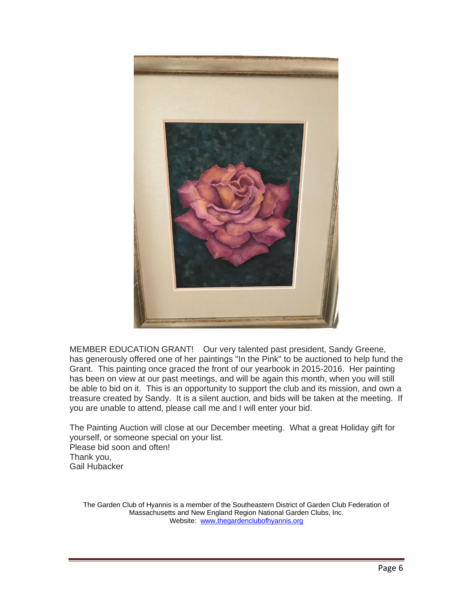

MEMBER EDUCATION GRANT! Our very talented past president, Sandy Greene, has generously offered one of her paintings "In the Pink" to be auctioned to help fund the Grant. This painting once graced the front of our yearbook in 2015-2016. Her painting has been on view at our past meetings, and will be again this month, when you will still be able to bid on it. This is an opportunity to support the club and its mission, and own a treasure created by Sandy. It is a silent auction, and bids will be taken at the meeting. If you are unable to attend, please call me and I will enter your bid.

The Painting Auction will close at our December meeting. What a great Holiday gift for yourself, or someone special on your list. Please bid soon and often! Thank you, Gail Hubacker

The Garden Club of Hyannis is a member of the Southeastern District of Garden Club Federation of Massachusetts and New England Region National Garden Clubs, Inc. Website: [www.thegardenclubofhyannis.org](http://www.thegardenclubofhyannis.org/)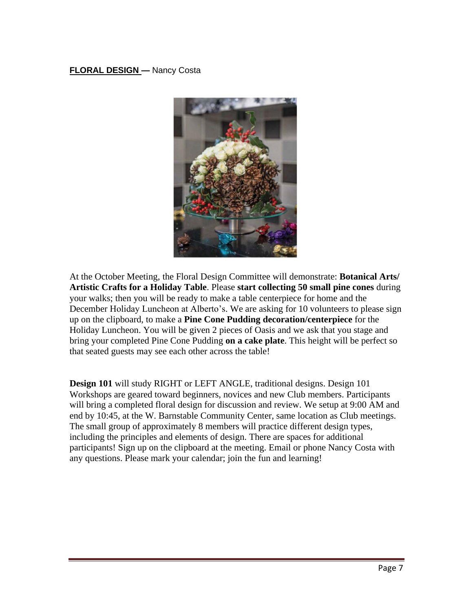#### **FLORAL DESIGN —** Nancy Costa



At the October Meeting, the Floral Design Committee will demonstrate: **Botanical Arts/ Artistic Crafts for a Holiday Table**. Please **start collecting 50 small pine cones** during your walks; then you will be ready to make a table centerpiece for home and the December Holiday Luncheon at Alberto's. We are asking for 10 volunteers to please sign up on the clipboard, to make a **Pine Cone Pudding decoration/centerpiece** for the Holiday Luncheon. You will be given 2 pieces of Oasis and we ask that you stage and bring your completed Pine Cone Pudding **on a cake plate**. This height will be perfect so that seated guests may see each other across the table!

**Design 101** will study RIGHT or LEFT ANGLE, traditional designs. Design 101 Workshops are geared toward beginners, novices and new Club members. Participants will bring a completed floral design for discussion and review. We setup at 9:00 AM and end by 10:45, at the W. Barnstable Community Center, same location as Club meetings. The small group of approximately 8 members will practice different design types, including the principles and elements of design. There are spaces for additional participants! Sign up on the clipboard at the meeting. Email or phone Nancy Costa with any questions. Please mark your calendar; join the fun and learning!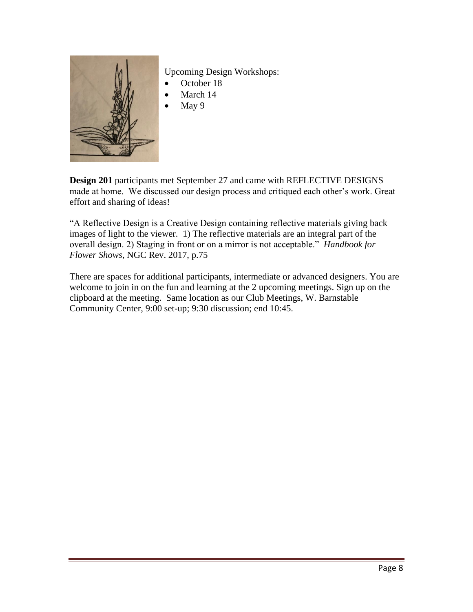

Upcoming Design Workshops:

- October 18
- March 14
- May 9

**Design 201** participants met September 27 and came with REFLECTIVE DESIGNS made at home. We discussed our design process and critiqued each other's work. Great effort and sharing of ideas!

"A Reflective Design is a Creative Design containing reflective materials giving back images of light to the viewer. 1) The reflective materials are an integral part of the overall design. 2) Staging in front or on a mirror is not acceptable." *Handbook for Flower Shows*, NGC Rev. 2017, p.75

There are spaces for additional participants, intermediate or advanced designers. You are welcome to join in on the fun and learning at the 2 upcoming meetings. Sign up on the clipboard at the meeting. Same location as our Club Meetings, W. Barnstable Community Center, 9:00 set-up; 9:30 discussion; end 10:45.